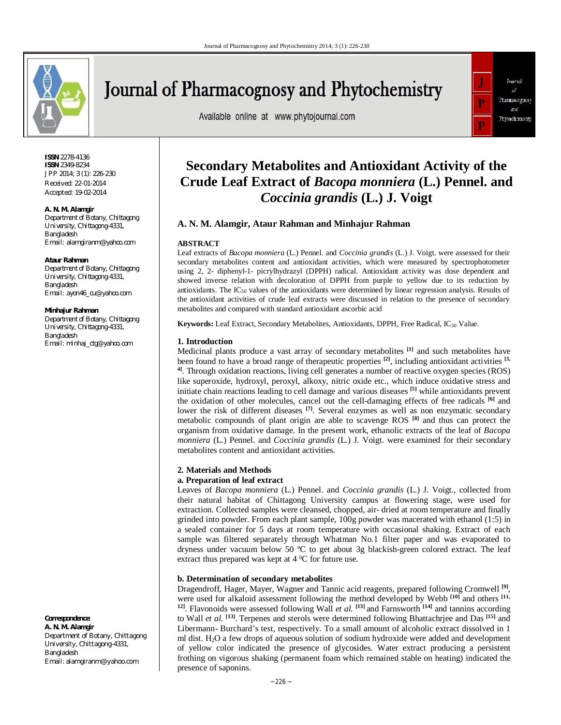

# Journal of Pharmacognosy and Phytochemistry

Available online at www.phytojournal.com



**ISSN** 2278-4136 **ISSN** 2349-8234 JPP 2014; 3 (1): 226-230 Received: 22-01-2014 Accepted: 19-02-2014

#### **A. N. M. Alamgir**

*Department of Botany, Chittagong University, Chittagong-4331, Bangladesh Email: alamgiranm@yahoo.com*

#### **Ataur Rahman**

*Department of Botany, Chittagong University, Chittagong-4331, Bangladesh Email: ayon46\_cu@yahoo.com*

#### **Minhajur Rahman**

*Department of Botany, Chittagong University, Chittagong-4331, Bangladesh Email: minhaj\_ctg@yahoo.com*

**Correspondence**:

**A. N. M. Alamgir** Department of Botany, Chittagong University, Chittagong-4331, Bangladesh Email: alamgiranm@yahoo.com

# **Secondary Metabolites and Antioxidant Activity of the Crude Leaf Extract of** *Bacopa monniera* **(L.) Pennel. and**  *Coccinia grandis* **(L.) J. Voigt**

# **A. N. M. Alamgir, Ataur Rahman and Minhajur Rahman**

# **ABSTRACT**

Leaf extracts of *Bacopa monniera* (L.) Pennel. and *Coccinia grandis* (L.) J. Voigt. were assessed for their secondary metabolites content and antioxidant activities, which were measured by spectrophotometer using 2, 2- diphenyl-1- picrylhydrazyl (DPPH) radical. Antioxidant activity was dose dependent and showed inverse relation with decoloration of DPPH from purple to yellow due to its reduction by antioxidants. The  $IC_{50}$  values of the antioxidants were determined by linear regression analysis. Results of the antioxidant activities of crude leaf extracts were discussed in relation to the presence of secondary metabolites and compared with standard antioxidant ascorbic acid

**Keywords:** Leaf Extract, Secondary Metabolites, Antioxidants, DPPH, Free Radical, IC<sub>50</sub> Value.

# **1. Introduction**

Medicinal plants produce a vast array of secondary metabolites **[1]** and such metabolites have been found to have a broad range of therapeutic properties **[2]** , including antioxidant activities **[3, 4]**. Through oxidation reactions, living cell generates a number of reactive oxygen species (ROS) like superoxide, hydroxyl, peroxyl, alkoxy, nitric oxide etc., which induce oxidative stress and initiate chain reactions leading to cell damage and various diseases **[5]** while antioxidants prevent the oxidation of other molecules, cancel out the cell-damaging effects of free radicals **[6]** and lower the risk of different diseases <sup>[7]</sup>. Several enzymes as well as non enzymatic secondary metabolic compounds of plant origin are able to scavenge ROS **[8]** and thus can protect the organism from oxidative damage. In the present work, ethanolic extracts of the leaf of *Bacopa monniera* (L.) Pennel. and *Coccinia grandis* (L.) J. Voigt. were examined for their secondary metabolites content and antioxidant activities.

# **2. Materials and Methods**

# **a. Preparation of leaf extract**

Leaves of *Bacopa monniera* (L.) Pennel. and *Coccinia grandis* (L.) J. Voigt., collected from their natural habitat of Chittagong University campus at flowering stage, were used for extraction. Collected samples were cleansed, chopped, air- dried at room temperature and finally grinded into powder. From each plant sample, 100g powder was macerated with ethanol (1:5) in a sealed container for 5 days at room temperature with occasional shaking. Extract of each sample was filtered separately through Whatman No.1 filter paper and was evaporated to dryness under vacuum below 50 ºC to get about 3g blackish-green colored extract. The leaf extract thus prepared was kept at  $4^{\circ}$ C for future use.

# **b. Determination of secondary metabolites**

Dragendroff, Hager, Mayer, Wagner and Tannic acid reagents, prepared following Cromwell **[9]** , were used for alkaloid assessment following the method developed by Webb **[10]** and others **[11, 12]**. Flavonoids were assessed following Wall *et al.* **[13]** and Farnsworth **[14]** and tannins according to Wall *et al.* <sup>[13]</sup>. Terpenes and sterols were determined following Bhattachrjee and Das <sup>[15]</sup> and Libermann- Burchard's test, respectively. To a small amount of alcoholic extract dissolved in 1 ml dist. H2O a few drops of aqueous solution of sodium hydroxide were added and development of yellow color indicated the presence of glycosides. Water extract producing a persistent frothing on vigorous shaking (permanent foam which remained stable on heating) indicated the presence of saponins.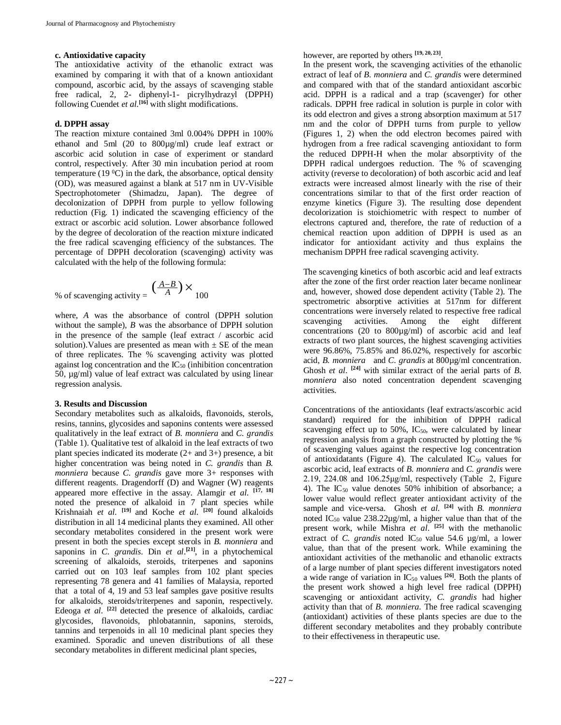# **c. Antioxidative capacity**

The antioxidative activity of the ethanolic extract was examined by comparing it with that of a known antioxidant compound, ascorbic acid, by the assays of scavenging stable free radical, 2, 2- diphenyl-1- picrylhydrazyl (DPPH) following Cuendet *et al*. **[16]** with slight modifications.

# **d. DPPH assay**

The reaction mixture contained 3ml 0.004% DPPH in 100% ethanol and 5ml (20 to 800µg/ml) crude leaf extract or ascorbic acid solution in case of experiment or standard control, respectively. After 30 min incubation period at room temperature (19 $\degree$ C) in the dark, the absorbance, optical density (OD), was measured against a blank at 517 nm in UV-Visible Spectrophotometer (Shimadzu, Japan). The degree of decolonization of DPPH from purple to yellow following reduction (Fig. 1) indicated the scavenging efficiency of the extract or ascorbic acid solution. Lower absorbance followed by the degree of decoloration of the reaction mixture indicated the free radical scavenging efficiency of the substances. The percentage of DPPH decoloration (scavenging) activity was calculated with the help of the following formula:

% of scavenging activity = 
$$
\left(\frac{A-B}{A}\right) \times 100
$$

where, *A* was the absorbance of control (DPPH solution without the sample), *B* was the absorbance of DPPH solution in the presence of the sample (leaf extract / ascorbic acid solution). Values are presented as mean with  $\pm$  SE of the mean of three replicates. The % scavenging activity was plotted against log concentration and the  $IC_{50}$  (inhibition concentration 50, µg/ml) value of leaf extract was calculated by using linear regression analysis.

# **3. Results and Discussion**

Secondary metabolites such as alkaloids, flavonoids, sterols, resins, tannins, glycosides and saponins contents were assessed qualitatively in the leaf extract of *B. monniera* and *C. grandis* (Table 1). Qualitative test of alkaloid in the leaf extracts of two plant species indicated its moderate (2+ and 3+) presence, a bit higher concentration was being noted in *C. grandis* than *B. monniera* because *C. grandis* gave more 3+ responses with different reagents. Dragendorff (D) and Wagner (W) reagents appeared more effective in the assay. Alamgir *et al.* **[17, 18]** noted the presence of alkaloid in 7 plant species while Krishnaiah *et al.* **[19]** and Koche *et al.* **[20]** found alkaloids distribution in all 14 medicinal plants they examined. All other secondary metabolites considered in the present work were present in both the species except sterols in *B. monniera* and saponins in *C. grandis*. Din *et al*. **[21]**, in a phytochemical screening of alkaloids, steroids, triterpenes and saponins carried out on 103 leaf samples from 102 plant species representing 78 genera and 41 families of Malaysia, reported that a total of 4, 19 and 53 leaf samples gave positive results for alkaloids, steroids/triterpenes and saponin, respectively. Edeoga *et al.* <sup>[22]</sup> detected the presence of alkaloids, cardiac glycosides, flavonoids, phlobatannin, saponins, steroids, tannins and terpenoids in all 10 medicinal plant species they examined. Sporadic and uneven distributions of all these secondary metabolites in different medicinal plant species,

however, are reported by others **[19, 20, 23]** .

In the present work, the scavenging activities of the ethanolic extract of leaf of *B. monniera* and *C. grandis* were determined and compared with that of the standard antioxidant ascorbic acid. DPPH is a radical and a trap (scavenger) for other radicals. DPPH free radical in solution is purple in color with its odd electron and gives a strong absorption maximum at 517 nm and the color of DPPH turns from purple to yellow (Figures 1, 2) when the odd electron becomes paired with hydrogen from a free radical scavenging antioxidant to form the reduced DPPH-H when the molar absorptivity of the DPPH radical undergoes reduction. The % of scavenging activity (reverse to decoloration) of both ascorbic acid and leaf extracts were increased almost linearly with the rise of their concentrations similar to that of the first order reaction of enzyme kinetics (Figure 3). The resulting dose dependent decolorization is stoichiometric with respect to number of electrons captured and, therefore, the rate of reduction of a chemical reaction upon addition of DPPH is used as an indicator for antioxidant activity and thus explains the mechanism DPPH free radical scavenging activity.

The scavenging kinetics of both ascorbic acid and leaf extracts after the zone of the first order reaction later became nonlinear and, however, showed dose dependent activity (Table 2). The spectrometric absorptive activities at 517nm for different concentrations were inversely related to respective free radical scavenging activities. Among the eight different concentrations (20 to 800µg/ml) of ascorbic acid and leaf extracts of two plant sources, the highest scavenging activities were 96.86%, 75.85% and 86.02%, respectively for ascorbic acid, *B. monniera* and *C. grandis* at 800µg/ml concentration. Ghosh *et al.* **[24]** with similar extract of the aerial parts of *B. monniera* also noted concentration dependent scavenging activities.

Concentrations of the antioxidants (leaf extracts/ascorbic acid standard) required for the inhibition of DPPH radical scavenging effect up to  $50\%$ ,  $IC_{50}$ , were calculated by linear regression analysis from a graph constructed by plotting the % of scavenging values against the respective log concentration of antioxidatants (Figure 4). The calculated  $IC_{50}$  values for ascorbic acid, leaf extracts of *B. monniera* and *C. grandis* were 2.19, 224.08 and 106.25μg/ml, respectively (Table 2, Figure 4). The  $IC_{50}$  value denotes 50% inhibition of absorbance; a lower value would reflect greater antioxidant activity of the sample and vice-versa. Ghosh *et al.* **[24]** with *B. monniera*  noted IC<sup>50</sup> value 238.22µg/ml, a higher value than that of the present work, while Mishra *et al*. **[25]** with the methanolic extract of *C. grandis* noted  $IC_{50}$  value 54.6  $\mu$ g/ml, a lower value, than that of the present work. While examining the antioxidant activities of the methanolic and ethanolic extracts of a large number of plant species different investigators noted a wide range of variation in  $IC_{50}$  values <sup>[26]</sup>. Both the plants of the present work showed a high level free radical (DPPH) scavenging or antioxidant activity, *C. grandis* had higher activity than that of *B. monniera*. The free radical scavenging (antioxidant) activities of these plants species are due to the different secondary metabolites and they probably contribute to their effectiveness in therapeutic use.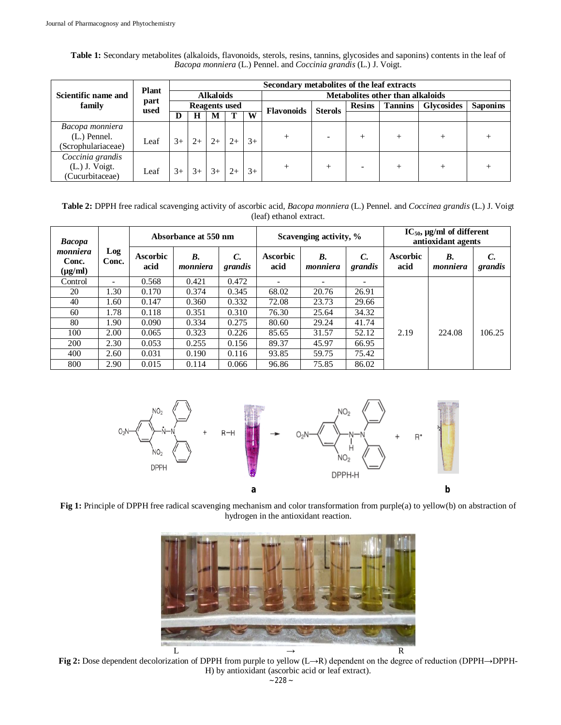| Scientific name and<br>family | <b>Plant</b><br>part<br>used | Secondary metabolites of the leaf extracts |      |      |      |      |                                  |                |               |                |                   |                 |  |
|-------------------------------|------------------------------|--------------------------------------------|------|------|------|------|----------------------------------|----------------|---------------|----------------|-------------------|-----------------|--|
|                               |                              | <b>Alkaloids</b>                           |      |      |      |      | Metabolites other than alkaloids |                |               |                |                   |                 |  |
|                               |                              | <b>Reagents</b> used                       |      |      |      |      | <b>Flavonoids</b>                | <b>Sterols</b> | <b>Resins</b> | <b>Tannins</b> | <b>Glycosides</b> | <b>Saponins</b> |  |
|                               |                              | D                                          | Н    | M    |      | W    |                                  |                |               |                |                   |                 |  |
| Bacopa monniera               |                              |                                            |      |      |      |      |                                  |                |               |                |                   |                 |  |
| $(L.)$ Pennel.                | $3+$<br>Leaf                 | $2+$                                       | $2+$ | $2+$ | $3+$ |      |                                  |                |               |                |                   |                 |  |
| (Scrophulariaceae)            |                              |                                            |      |      |      |      |                                  |                |               |                |                   |                 |  |
| Coccinia grandis              |                              |                                            |      |      |      |      |                                  |                |               |                |                   |                 |  |
| $(L.)$ J. Voigt.              | Leaf                         | $3+$                                       | $3+$ | $3+$ |      | $3+$ |                                  |                |               |                |                   |                 |  |
| (Cucurbitaceae)               |                              |                                            |      |      |      |      |                                  |                |               |                |                   |                 |  |

Table 1: Secondary metabolites (alkaloids, flavonoids, sterols, resins, tannins, glycosides and saponins) contents in the leaf of *Bacopa monniera* (L.) Pennel. and *Coccinia grandis* (L.) J. Voigt.

**Table 2:** DPPH free radical scavenging activity of ascorbic acid, *Bacopa monniera* (L.) Pennel. and *Coccinea grandis* (L.) J. Voigt (leaf) ethanol extract.

| <b>Bacopa</b>                     |                          |                         | Absorbance at 550 nm  |                          |                         | Scavenging activity, %   |               | $IC_{50}$ , µg/ml of different<br>antioxidant agents |                |               |
|-----------------------------------|--------------------------|-------------------------|-----------------------|--------------------------|-------------------------|--------------------------|---------------|------------------------------------------------------|----------------|---------------|
| monniera<br>Conc.<br>$(\mu g/ml)$ | Log<br>Conc.             | <b>Ascorbic</b><br>acid | <b>B.</b><br>monniera | $\mathcal{C}$<br>grandis | <b>Ascorbic</b><br>acid | <b>B.</b><br>monniera    | C.<br>grandis | <b>Ascorbic</b><br>acid                              | В.<br>monniera | C.<br>grandis |
| Control                           | $\overline{\phantom{0}}$ | 0.568                   | 0.421                 | 0.472                    |                         | $\overline{\phantom{0}}$ |               |                                                      |                |               |
| 20                                | 1.30                     | 0.170                   | 0.374                 | 0.345                    | 68.02                   | 20.76                    | 26.91         |                                                      |                |               |
| 40                                | 1.60                     | 0.147                   | 0.360                 | 0.332                    | 72.08                   | 23.73                    | 29.66         |                                                      |                |               |
| 60                                | 1.78                     | 0.118                   | 0.351                 | 0.310                    | 76.30                   | 25.64                    | 34.32         |                                                      |                |               |
| 80                                | 1.90                     | 0.090                   | 0.334                 | 0.275                    | 80.60                   | 29.24                    | 41.74         |                                                      |                |               |
| 100                               | 2.00                     | 0.065                   | 0.323                 | 0.226                    | 85.65                   | 31.57                    | 52.12         | 2.19                                                 | 224.08         | 106.25        |
| 200                               | 2.30                     | 0.053                   | 0.255                 | 0.156                    | 89.37                   | 45.97                    | 66.95         |                                                      |                |               |
| 400                               | 2.60                     | 0.031                   | 0.190                 | 0.116                    | 93.85                   | 59.75                    | 75.42         |                                                      |                |               |
| 800                               | 2.90                     | 0.015                   | 0.114                 | 0.066                    | 96.86                   | 75.85                    | 86.02         |                                                      |                |               |



**Fig 1:** Principle of DPPH free radical scavenging mechanism and color transformation from purple(a) to yellow(b) on abstraction of hydrogen in the antioxidant reaction.



**Fig 2:** Dose dependent decolorization of DPPH from purple to yellow (L→R) dependent on the degree of reduction (DPPH→DPPH-H) by antioxidant (ascorbic acid or leaf extract).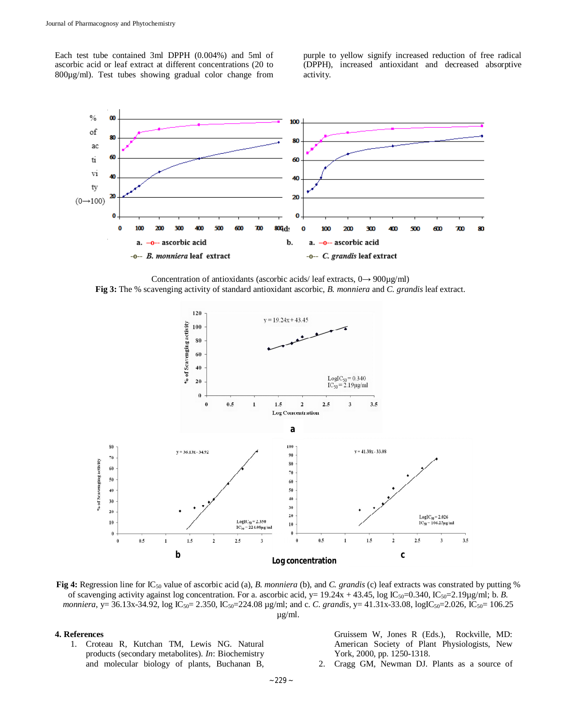Each test tube contained 3ml DPPH (0.004%) and 5ml of ascorbic acid or leaf extract at different concentrations (20 to 800µg/ml). Test tubes showing gradual color change from purple to yellow signify increased reduction of free radical (DPPH), increased antioxidant and decreased absorptive activity.



Concentration of antioxidants (ascorbic acids/ leaf extracts,  $0 \rightarrow 900\mu\text{g/ml}}$ )

**Fig 3:** The % scavenging activity of standard antioxidant ascorbic, *B. monniera* and *C. grandis* leaf extract.



**Fig 4:** Regression line for IC<sub>50</sub> value of ascorbic acid (a), *B. monniera* (b), and *C. grandis* (c) leaf extracts was constrated by putting % of scavenging activity against log concentration. For a. ascorbic acid,  $y = 19.24x + 43.45$ , log IC<sub>50</sub>=0.340, IC<sub>50</sub>=2.19µg/ml; b. *B*. *monniera*, y= 36.13x-34.92, log IC<sub>50</sub>= 2.350, IC<sub>50</sub>=224.08 µg/ml; and c. *C. grandis*, y= 41.31x-33.08, logIC<sub>50</sub>=2.026, IC<sub>50</sub>= 106.25 µg/ml.

### **4. References**

1. Croteau R, Kutchan TM, Lewis NG. Natural products (secondary metabolites). *In*: Biochemistry and molecular biology of plants, Buchanan B,

Gruissem W, Jones R (Eds.), Rockville, MD: American Society of Plant Physiologists, New York, 2000, pp. 1250-1318.

2. Cragg GM, Newman DJ. Plants as a source of